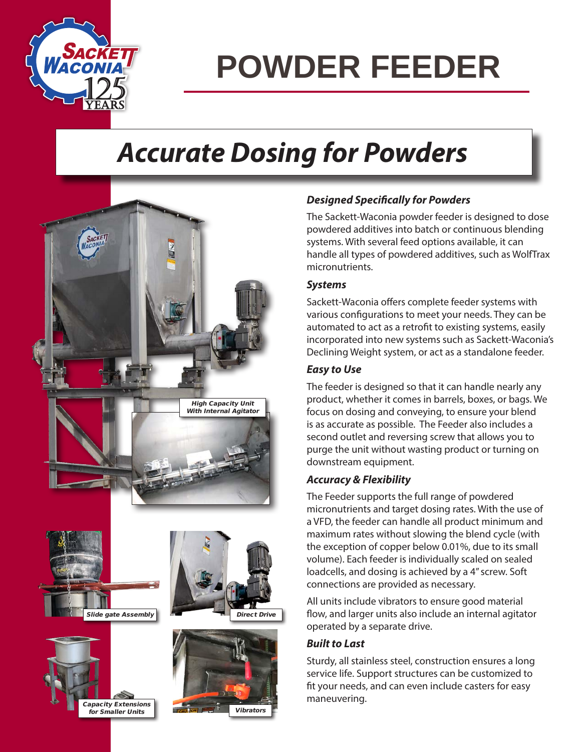

## **POWDER FEEDER**

### *Accurate Dosing for Powders*



#### Capacity Extensions .<br>for Smaller Units

#### *Designed Specifically for Powders*

The Sackett-Waconia powder feeder is designed to dose powdered additives into batch or continuous blending systems. With several feed options available, it can handle all types of powdered additives, such as WolfTrax micronutrients.

#### *Systems*

Sackett-Waconia offers complete feeder systems with various configurations to meet your needs. They can be automated to act as a retrofit to existing systems, easily incorporated into new systems such as Sackett-Waconia's Declining Weight system, or act as a standalone feeder.

#### *Easy to Use*

The feeder is designed so that it can handle nearly any product, whether it comes in barrels, boxes, or bags. We focus on dosing and conveying, to ensure your blend is as accurate as possible. The Feeder also includes a second outlet and reversing screw that allows you to purge the unit without wasting product or turning on downstream equipment.

#### *Accuracy & Flexibility*

The Feeder supports the full range of powdered micronutrients and target dosing rates. With the use of a VFD, the feeder can handle all product minimum and maximum rates without slowing the blend cycle (with the exception of copper below 0.01%, due to its small volume). Each feeder is individually scaled on sealed loadcells, and dosing is achieved by a 4" screw. Soft connections are provided as necessary.

All units include vibrators to ensure good material flow, and larger units also include an internal agitator operated by a separate drive.

#### *Built to Last*

Sturdy, all stainless steel, construction ensures a long service life. Support structures can be customized to fit your needs, and can even include casters for easy maneuvering.

Vibrators